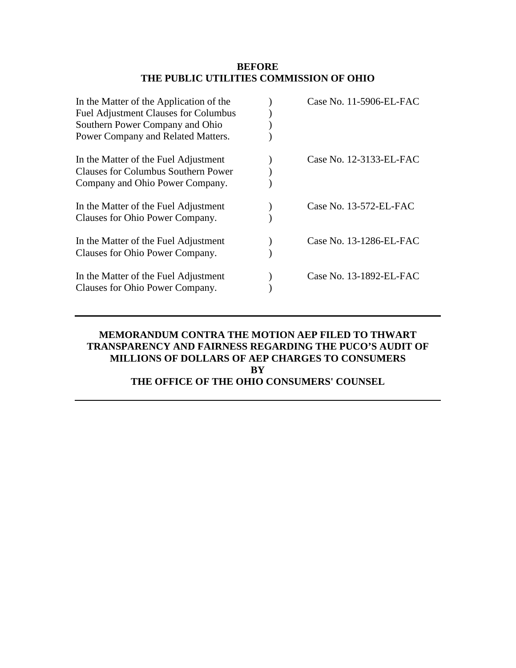### **BEFORE THE PUBLIC UTILITIES COMMISSION OF OHIO**

| Case No. 11-5906-EL-FAC |
|-------------------------|
|                         |
|                         |
|                         |
| Case No. 12-3133-EL-FAC |
|                         |
|                         |
| Case No. 13-572-EL-FAC  |
|                         |
| Case No. 13-1286-EL-FAC |
|                         |
| Case No. 13-1892-EL-FAC |
|                         |
|                         |

# **MEMORANDUM CONTRA THE MOTION AEP FILED TO THWART TRANSPARENCY AND FAIRNESS REGARDING THE PUCO'S AUDIT OF MILLIONS OF DOLLARS OF AEP CHARGES TO CONSUMERS BY THE OFFICE OF THE OHIO CONSUMERS' COUNSEL**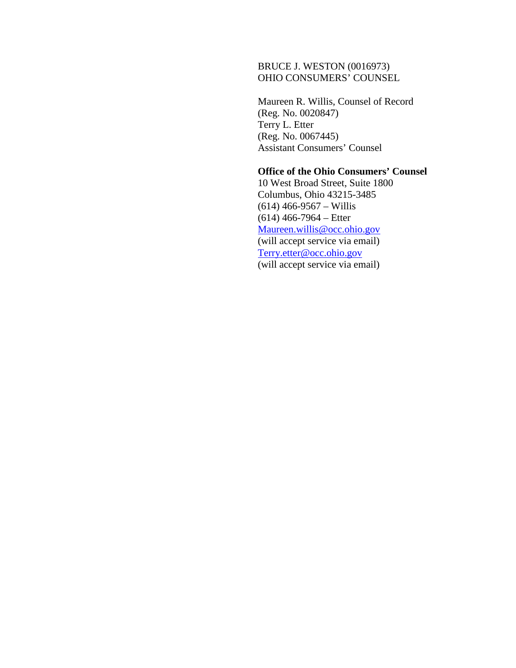## BRUCE J. WESTON (0016973) OHIO CONSUMERS' COUNSEL

Maureen R. Willis, Counsel of Record (Reg. No. 0020847) Terry L. Etter (Reg. No. 0067445) Assistant Consumers' Counsel

### **Office of the Ohio Consumers' Counsel**

10 West Broad Street, Suite 1800 Columbus, Ohio 43215-3485 (614) 466-9567 – Willis (614) 466-7964 – Etter [Maureen.willis@occ.ohio.gov](mailto:Maureen.grady@occ.ohio.gov) (will accept service via email) [Terry.etter@occ.ohio.gov](mailto:Terry.etter@occ.ohio.gov) (will accept service via email)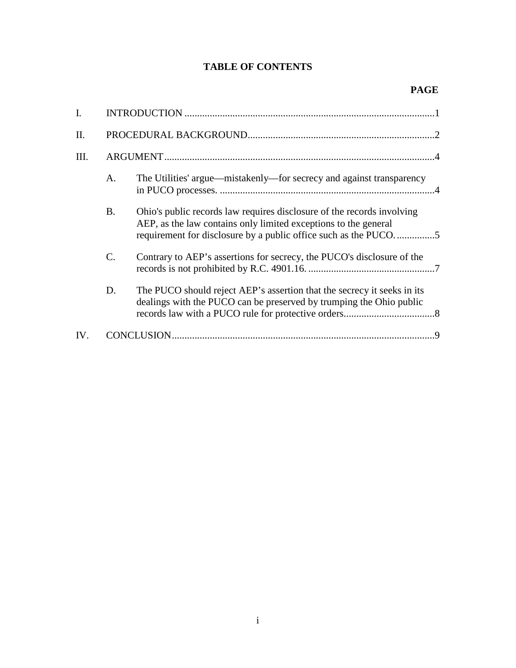# **TABLE OF CONTENTS**

| I.   |                 |                                                                                                                                                                                                              |              |  |
|------|-----------------|--------------------------------------------------------------------------------------------------------------------------------------------------------------------------------------------------------------|--------------|--|
| II.  |                 |                                                                                                                                                                                                              |              |  |
| III. |                 |                                                                                                                                                                                                              |              |  |
|      | A.              | The Utilities' argue—mistakenly—for secrecy and against transparency                                                                                                                                         |              |  |
|      | <b>B.</b>       | Ohio's public records law requires disclosure of the records involving<br>AEP, as the law contains only limited exceptions to the general<br>requirement for disclosure by a public office such as the PUCO5 |              |  |
|      | $\mathcal{C}$ . | Contrary to AEP's assertions for secrecy, the PUCO's disclosure of the                                                                                                                                       |              |  |
|      | D.              | The PUCO should reject AEP's assertion that the secrecy it seeks in its<br>dealings with the PUCO can be preserved by trumping the Ohio public                                                               |              |  |
| IV.  |                 |                                                                                                                                                                                                              | $\mathbf{Q}$ |  |
|      |                 |                                                                                                                                                                                                              |              |  |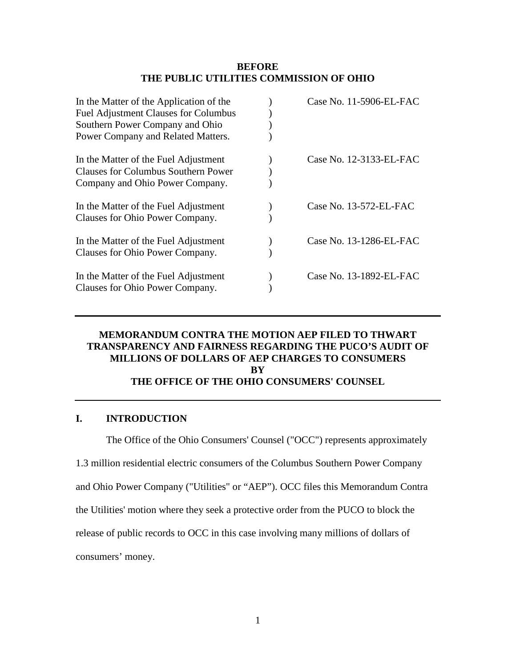### **BEFORE THE PUBLIC UTILITIES COMMISSION OF OHIO**

| Case No. 11-5906-EL-FAC   |
|---------------------------|
|                           |
|                           |
|                           |
| Case No. 12-3133-EL-FAC   |
|                           |
|                           |
| Case No. $13-572$ -EL-FAC |
|                           |
| Case No. 13-1286-EL-FAC   |
|                           |
| Case No. 13-1892-EL-FAC   |
|                           |
|                           |

### **MEMORANDUM CONTRA THE MOTION AEP FILED TO THWART TRANSPARENCY AND FAIRNESS REGARDING THE PUCO'S AUDIT OF MILLIONS OF DOLLARS OF AEP CHARGES TO CONSUMERS BY THE OFFICE OF THE OHIO CONSUMERS' COUNSEL**

## <span id="page-3-0"></span>**I. INTRODUCTION**

The Office of the Ohio Consumers' Counsel ("OCC") represents approximately

1.3 million residential electric consumers of the Columbus Southern Power Company

and Ohio Power Company ("Utilities" or "AEP"). OCC files this Memorandum Contra

the Utilities' motion where they seek a protective order from the PUCO to block the

release of public records to OCC in this case involving many millions of dollars of

consumers' money.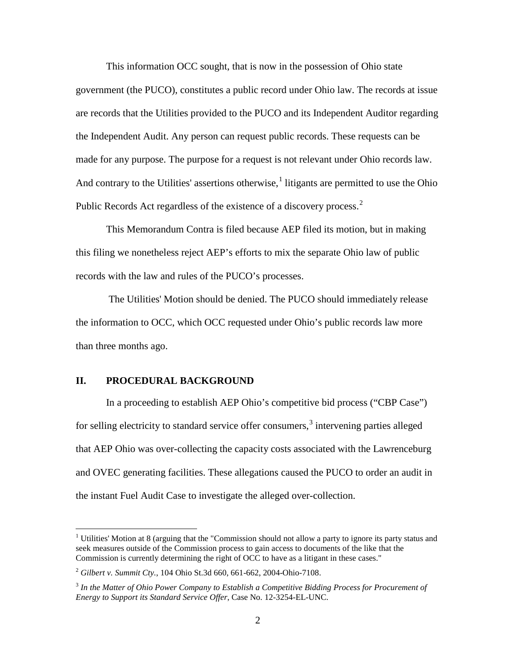This information OCC sought, that is now in the possession of Ohio state government (the PUCO), constitutes a public record under Ohio law. The records at issue are records that the Utilities provided to the PUCO and its Independent Auditor regarding the Independent Audit. Any person can request public records. These requests can be made for any purpose. The purpose for a request is not relevant under Ohio records law. And contrary to the Utilities' assertions otherwise,  $\frac{1}{1}$  $\frac{1}{1}$  $\frac{1}{1}$  litigants are permitted to use the Ohio Public Records Act regardless of the existence of a discovery process.<sup>[2](#page-4-2)</sup>

This Memorandum Contra is filed because AEP filed its motion, but in making this filing we nonetheless reject AEP's efforts to mix the separate Ohio law of public records with the law and rules of the PUCO's processes.

The Utilities' Motion should be denied. The PUCO should immediately release the information to OCC, which OCC requested under Ohio's public records law more than three months ago.

#### <span id="page-4-0"></span>**II. PROCEDURAL BACKGROUND**

 $\overline{a}$ 

In a proceeding to establish AEP Ohio's competitive bid process ("CBP Case") for selling electricity to standard service offer consumers,<sup>[3](#page-4-1)</sup> intervening parties alleged that AEP Ohio was over-collecting the capacity costs associated with the Lawrenceburg and OVEC generating facilities. These allegations caused the PUCO to order an audit in the instant Fuel Audit Case to investigate the alleged over-collection.

<span id="page-4-3"></span><sup>&</sup>lt;sup>1</sup> Utilities' Motion at 8 (arguing that the "Commission should not allow a party to ignore its party status and seek measures outside of the Commission process to gain access to documents of the like that the Commission is currently determining the right of OCC to have as a litigant in these cases."

<span id="page-4-2"></span><sup>2</sup> *Gilbert v. Summit Cty.*, 104 Ohio St.3d 660, 661-662, 2004-Ohio-7108.

<span id="page-4-1"></span><sup>3</sup> *In the Matter of Ohio Power Company to Establish a Competitive Bidding Process for Procurement of Energy to Support its Standard Service Offer*, Case No. 12-3254-EL-UNC.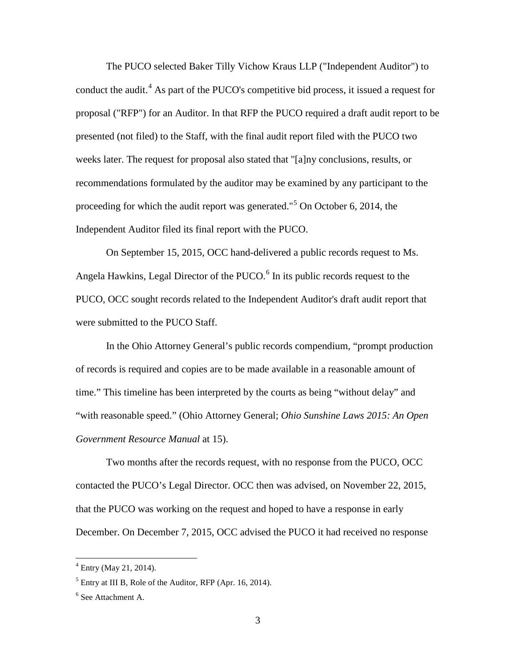The PUCO selected Baker Tilly Vichow Kraus LLP ("Independent Auditor") to conduct the audit. [4](#page-5-2) As part of the PUCO's competitive bid process, it issued a request for proposal ("RFP") for an Auditor. In that RFP the PUCO required a draft audit report to be presented (not filed) to the Staff, with the final audit report filed with the PUCO two weeks later. The request for proposal also stated that "[a]ny conclusions, results, or recommendations formulated by the auditor may be examined by any participant to the proceeding for which the audit report was generated."[5](#page-5-1) On October 6, 2014, the Independent Auditor filed its final report with the PUCO.

On September 15, 2015, OCC hand-delivered a public records request to Ms. Angela Hawkins, Legal Director of the PUCO. $<sup>6</sup>$  $<sup>6</sup>$  $<sup>6</sup>$  In its public records request to the</sup> PUCO, OCC sought records related to the Independent Auditor's draft audit report that were submitted to the PUCO Staff.

In the Ohio Attorney General's public records compendium, "prompt production of records is required and copies are to be made available in a reasonable amount of time." This timeline has been interpreted by the courts as being "without delay" and "with reasonable speed." (Ohio Attorney General; *Ohio Sunshine Laws 2015: An Open Government Resource Manual* at 15).

Two months after the records request, with no response from the PUCO, OCC contacted the PUCO's Legal Director. OCC then was advised, on November 22, 2015, that the PUCO was working on the request and hoped to have a response in early December. On December 7, 2015, OCC advised the PUCO it had received no response

<span id="page-5-2"></span> $4$  Entry (May 21, 2014).

<span id="page-5-1"></span> $<sup>5</sup>$  Entry at III B, Role of the Auditor, RFP (Apr. 16, 2014).</sup>

<span id="page-5-0"></span><sup>6</sup> See Attachment A.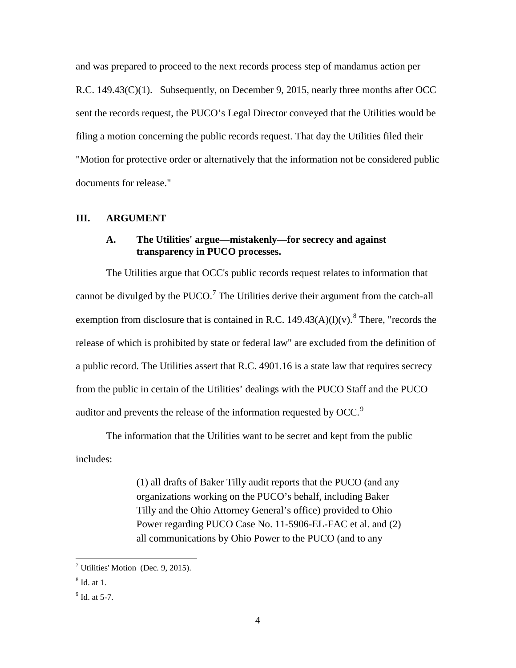and was prepared to proceed to the next records process step of mandamus action per R.C. 149.43(C)(1). Subsequently, on December 9, 2015, nearly three months after OCC sent the records request, the PUCO's Legal Director conveyed that the Utilities would be filing a motion concerning the public records request. That day the Utilities filed their "Motion for protective order or alternatively that the information not be considered public documents for release."

#### <span id="page-6-1"></span><span id="page-6-0"></span>**III. ARGUMENT**

### **A. The Utilities' argue—mistakenly—for secrecy and against transparency in PUCO processes.**

The Utilities argue that OCC's public records request relates to information that cannot be divulged by the  $PUCO<sup>7</sup>$  $PUCO<sup>7</sup>$  $PUCO<sup>7</sup>$ . The Utilities derive their argument from the catch-all exemption from disclosure that is contained in R.C. 149.43(A)(l)(v).<sup>[8](#page-6-3)</sup> There, "records the release of which is prohibited by state or federal law" are excluded from the definition of a public record. The Utilities assert that R.C. 4901.16 is a state law that requires secrecy from the public in certain of the Utilities' dealings with the PUCO Staff and the PUCO auditor and prevents the release of the information requested by OCC.<sup>[9](#page-6-2)</sup>

The information that the Utilities want to be secret and kept from the public includes:

> (1) all drafts of Baker Tilly audit reports that the PUCO (and any organizations working on the PUCO's behalf, including Baker Tilly and the Ohio Attorney General's office) provided to Ohio Power regarding PUCO Case No. 11-5906-EL-FAC et al. and (2) all communications by Ohio Power to the PUCO (and to any

<span id="page-6-4"></span><sup>&</sup>lt;sup>7</sup> Utilities' Motion (Dec. 9, 2015).

<span id="page-6-3"></span> $8$  Id. at 1.

<span id="page-6-2"></span> $9$  Id. at 5-7.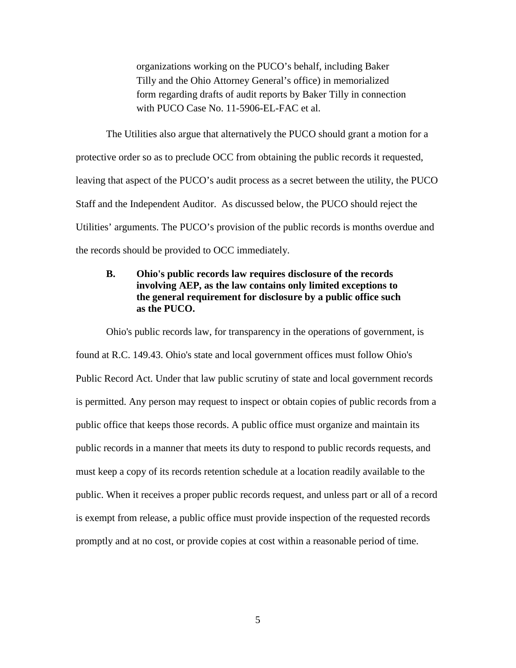organizations working on the PUCO's behalf, including Baker Tilly and the Ohio Attorney General's office) in memorialized form regarding drafts of audit reports by Baker Tilly in connection with PUCO Case No. 11-5906-EL-FAC et al.

The Utilities also argue that alternatively the PUCO should grant a motion for a protective order so as to preclude OCC from obtaining the public records it requested, leaving that aspect of the PUCO's audit process as a secret between the utility, the PUCO Staff and the Independent Auditor. As discussed below, the PUCO should reject the Utilities' arguments. The PUCO's provision of the public records is months overdue and the records should be provided to OCC immediately.

# <span id="page-7-0"></span>**B. Ohio's public records law requires disclosure of the records involving AEP, as the law contains only limited exceptions to the general requirement for disclosure by a public office such as the PUCO.**

Ohio's public records law, for transparency in the operations of government, is found at R.C. 149.43. Ohio's state and local government offices must follow Ohio's Public Record Act. Under that law public scrutiny of state and local government records is permitted. Any person may request to inspect or obtain copies of public records from a public office that keeps those records. A public office must organize and maintain its public records in a manner that meets its duty to respond to public records requests, and must keep a copy of its records retention schedule at a location readily available to the public. When it receives a proper public records request, and unless part or all of a record is exempt from release, a public office must provide inspection of the requested records promptly and at no cost, or provide copies at cost within a reasonable period of time.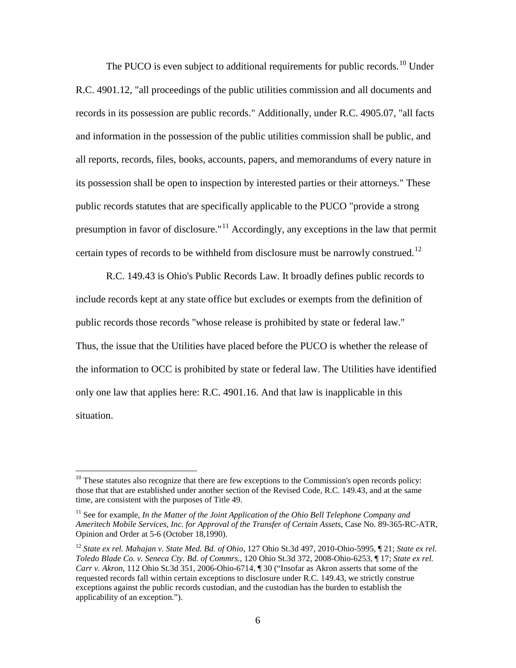The PUCO is even subject to additional requirements for public records.<sup>[10](#page-8-2)</sup> Under R.C. 4901.12, "all proceedings of the public utilities commission and all documents and records in its possession are public records." Additionally, under R.C. 4905.07, "all facts and information in the possession of the public utilities commission shall be public, and all reports, records, files, books, accounts, papers, and memorandums of every nature in its possession shall be open to inspection by interested parties or their attorneys." These public records statutes that are specifically applicable to the PUCO "provide a strong presumption in favor of disclosure."<sup>[11](#page-8-1)</sup> Accordingly, any exceptions in the law that permit certain types of records to be withheld from disclosure must be narrowly construed.<sup>[12](#page-8-0)</sup>

R.C. 149.43 is Ohio's Public Records Law. It broadly defines public records to include records kept at any state office but excludes or exempts from the definition of public records those records "whose release is prohibited by state or federal law." Thus, the issue that the Utilities have placed before the PUCO is whether the release of the information to OCC is prohibited by state or federal law. The Utilities have identified only one law that applies here: R.C. 4901.16. And that law is inapplicable in this situation.

<span id="page-8-2"></span> $10$  These statutes also recognize that there are few exceptions to the Commission's open records policy: those that that are established under another section of the Revised Code, R.C. 149.43, and at the same time, are consistent with the purposes of Title 49.

<span id="page-8-1"></span> $11$  See for example, *In the Matter of the Joint Application of the Ohio Bell Telephone Company and Ameritech Mobile Services, Inc. for Approval of the Transfer of Certain Assets*, Case No. 89-365-RC-ATR, Opinion and Order at 5-6 (October 18,1990).

<span id="page-8-0"></span><sup>12</sup> *State ex rel. Mahajan v. State Med. Bd. of Ohio*, 127 Ohio St.3d 497, 2010-Ohio-5995, ¶ 21; *State ex rel. Toledo Blade Co. v. Seneca Cty. Bd. of Commrs.*, 120 Ohio St.3d 372, 2008-Ohio-6253, ¶ 17; *State ex rel. Carr v. Akron*, 112 Ohio St.3d 351, 2006-Ohio-6714, ¶ 30 ("Insofar as Akron asserts that some of the requested records fall within certain exceptions to disclosure under R.C. 149.43, we strictly construe exceptions against the public records custodian, and the custodian has the burden to establish the applicability of an exception.").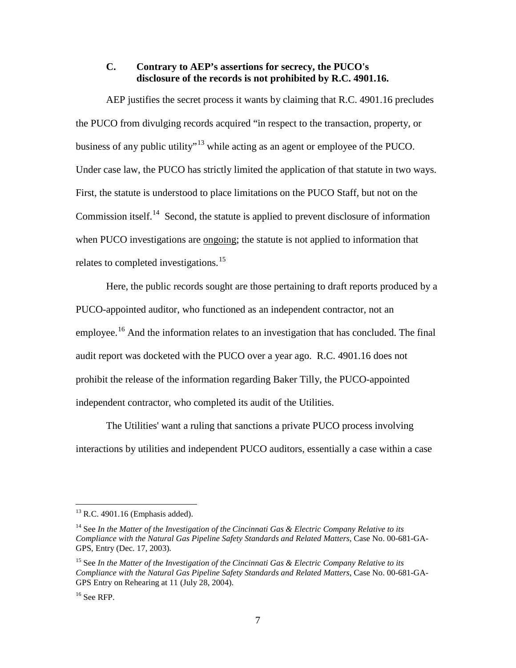### <span id="page-9-0"></span>**C. Contrary to AEP's assertions for secrecy, the PUCO's disclosure of the records is not prohibited by R.C. 4901.16.**

AEP justifies the secret process it wants by claiming that R.C. 4901.16 precludes the PUCO from divulging records acquired "in respect to the transaction, property, or business of any public utility"[13](#page-9-3) while acting as an agent or employee of the PUCO. Under case law, the PUCO has strictly limited the application of that statute in two ways. First, the statute is understood to place limitations on the PUCO Staff, but not on the Commission itself.<sup>[14](#page-9-4)</sup> Second, the statute is applied to prevent disclosure of information when PUCO investigations are <u>ongoing</u>; the statute is not applied to information that relates to completed investigations.<sup>[15](#page-9-1)</sup>

Here, the public records sought are those pertaining to draft reports produced by a PUCO-appointed auditor, who functioned as an independent contractor, not an employee.<sup>[16](#page-9-2)</sup> And the information relates to an investigation that has concluded. The final audit report was docketed with the PUCO over a year ago. R.C. 4901.16 does not prohibit the release of the information regarding Baker Tilly, the PUCO-appointed independent contractor, who completed its audit of the Utilities.

The Utilities' want a ruling that sanctions a private PUCO process involving interactions by utilities and independent PUCO auditors, essentially a case within a case

<span id="page-9-3"></span> $^{13}$  R.C. 4901.16 (Emphasis added).

<span id="page-9-4"></span><sup>14</sup> See *In the Matter of the Investigation of the Cincinnati Gas & Electric Company Relative to its Compliance with the Natural Gas Pipeline Safety Standards and Related Matters*, Case No. 00-681-GA-GPS, Entry (Dec. 17, 2003).

<span id="page-9-1"></span><sup>15</sup> See *In the Matter of the Investigation of the Cincinnati Gas & Electric Company Relative to its Compliance with the Natural Gas Pipeline Safety Standards and Related Matters*, Case No. 00-681-GA-GPS Entry on Rehearing at 11 (July 28, 2004).

<span id="page-9-2"></span> $16$  See RFP.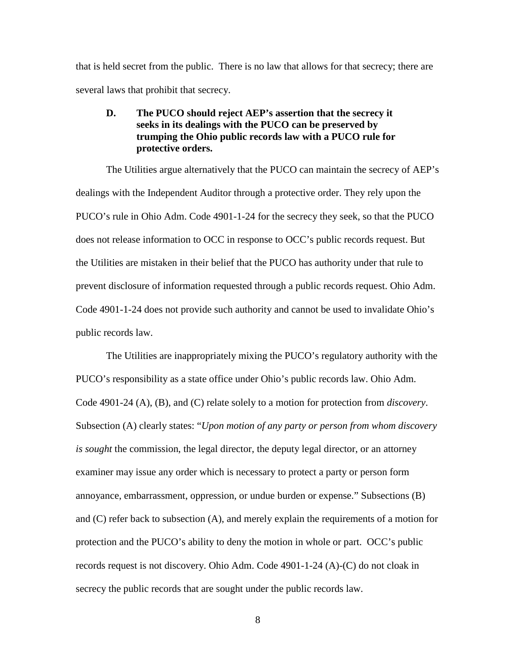that is held secret from the public. There is no law that allows for that secrecy; there are several laws that prohibit that secrecy.

### <span id="page-10-0"></span>**D. The PUCO should reject AEP's assertion that the secrecy it seeks in its dealings with the PUCO can be preserved by trumping the Ohio public records law with a PUCO rule for protective orders.**

The Utilities argue alternatively that the PUCO can maintain the secrecy of AEP's dealings with the Independent Auditor through a protective order. They rely upon the PUCO's rule in Ohio Adm. Code 4901-1-24 for the secrecy they seek, so that the PUCO does not release information to OCC in response to OCC's public records request. But the Utilities are mistaken in their belief that the PUCO has authority under that rule to prevent disclosure of information requested through a public records request. Ohio Adm. Code 4901-1-24 does not provide such authority and cannot be used to invalidate Ohio's public records law.

The Utilities are inappropriately mixing the PUCO's regulatory authority with the PUCO's responsibility as a state office under Ohio's public records law. Ohio Adm. Code 4901-24 (A), (B), and (C) relate solely to a motion for protection from *discovery*. Subsection (A) clearly states: "*Upon motion of any party or person from whom discovery is sought* the commission, the legal director, the deputy legal director, or an attorney examiner may issue any order which is necessary to protect a party or person form annoyance, embarrassment, oppression, or undue burden or expense." Subsections (B) and (C) refer back to subsection (A), and merely explain the requirements of a motion for protection and the PUCO's ability to deny the motion in whole or part. OCC's public records request is not discovery. Ohio Adm. Code 4901-1-24 (A)-(C) do not cloak in secrecy the public records that are sought under the public records law.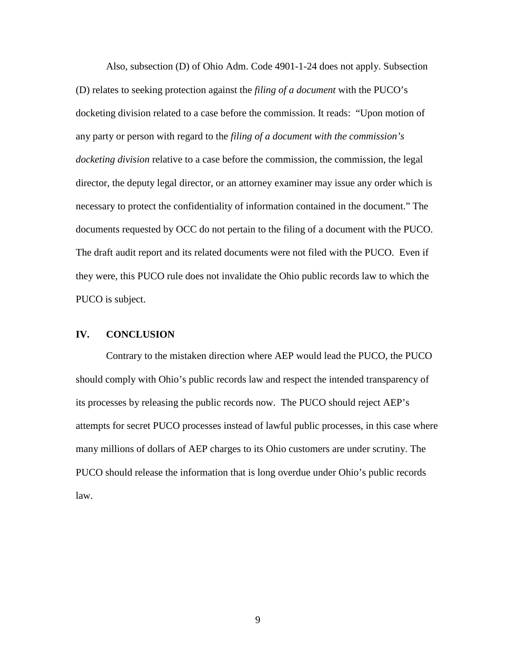Also, subsection (D) of Ohio Adm. Code 4901-1-24 does not apply. Subsection (D) relates to seeking protection against the *filing of a document* with the PUCO's docketing division related to a case before the commission. It reads: "Upon motion of any party or person with regard to the *filing of a document with the commission's docketing division* relative to a case before the commission, the commission, the legal director, the deputy legal director, or an attorney examiner may issue any order which is necessary to protect the confidentiality of information contained in the document." The documents requested by OCC do not pertain to the filing of a document with the PUCO. The draft audit report and its related documents were not filed with the PUCO. Even if they were, this PUCO rule does not invalidate the Ohio public records law to which the PUCO is subject.

#### <span id="page-11-0"></span>**IV. CONCLUSION**

Contrary to the mistaken direction where AEP would lead the PUCO, the PUCO should comply with Ohio's public records law and respect the intended transparency of its processes by releasing the public records now. The PUCO should reject AEP's attempts for secret PUCO processes instead of lawful public processes, in this case where many millions of dollars of AEP charges to its Ohio customers are under scrutiny. The PUCO should release the information that is long overdue under Ohio's public records law.

9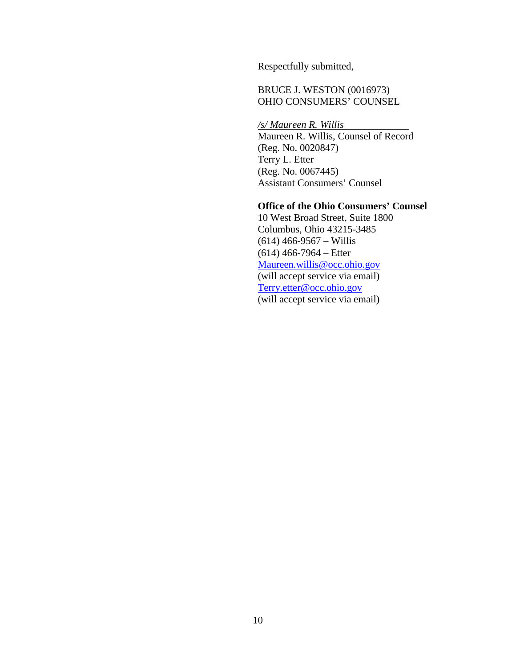Respectfully submitted,

# BRUCE J. WESTON (0016973) OHIO CONSUMERS' COUNSEL

*/s/ Maureen R. Willis* Maureen R. Willis, Counsel of Record (Reg. No. 0020847) Terry L. Etter (Reg. No. 0067445) Assistant Consumers' Counsel

### **Office of the Ohio Consumers' Counsel**

10 West Broad Street, Suite 1800 Columbus, Ohio 43215-3485 (614) 466-9567 – Willis (614) 466-7964 – Etter [Maureen.willis@occ.ohio.gov](mailto:Maureen.grady@occ.ohio.gov) (will accept service via email) [Terry.etter@occ.ohio.gov](mailto:Terry.etter@occ.ohio.gov) (will accept service via email)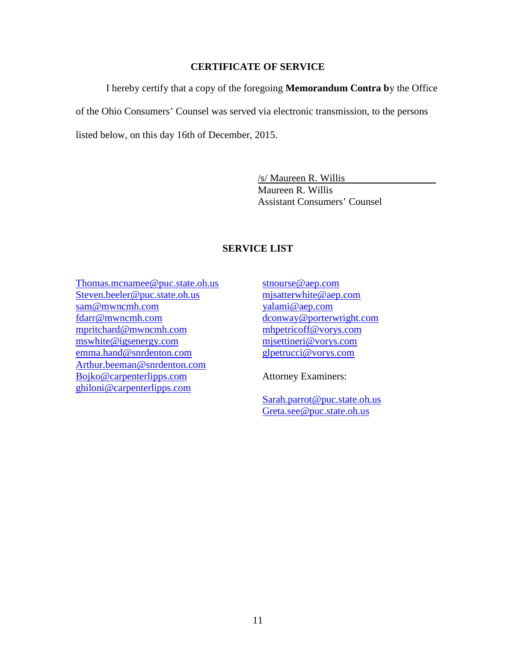### **CERTIFICATE OF SERVICE**

I hereby certify that a copy of the foregoing **Memorandum Contra b**y the Office

of the Ohio Consumers' Counsel was served via electronic transmission, to the persons

listed below, on this day 16th of December, 2015.

/s/ Maureen R. Willis Maureen R. Willis Assistant Consumers' Counsel

# **SERVICE LIST**

- [Thomas.mcnamee@puc.state.oh.us](mailto:Thomas.mcnamee@puc.state.oh.us) [Steven.beeler@puc.state.oh.us](mailto:Steven.beeler@puc.state.oh.us) [sam@mwncmh.com](mailto:sam@mwncmh.com) [fdarr@mwncmh.com](mailto:fdarr@mwncmh.com) [mpritchard@mwncmh.com](mailto:mpritchard@mwncmh.com) [mswhite@igsenergy.com](mailto:mswhite@igsenergy.com) [emma.hand@snrdenton.com](mailto:emma.hand@snrdenton.com) [Arthur.beeman@snrdenton.com](mailto:Arthur.beeman@snrdenton.com) [Bojko@carpenterlipps.com](mailto:Bojko@carpenterlipps.com) [ghiloni@carpenterlipps.com](mailto:ghiloni@carpenterlipps.com)
- [stnourse@aep.com](mailto:stnourse@aep.com) [mjsatterwhite@aep.com](mailto:mjsatterwhite@aep.com) [yalami@aep.com](mailto:yalami@aep.com) [dconway@porterwright.com](mailto:dconway@porterwright.com) [mhpetricoff@vorys.com](mailto:mhpetricoff@vorys.com) [mjsettineri@vorys.com](mailto:mjsettineri@vorys.com) [glpetrucci@vorys.com](mailto:glpetrucci@vorys.com)

Attorney Examiners:

[Sarah.parrot@puc.state.oh.us](mailto:Sarah.parrot@puc.state.oh.us) [Greta.see@puc.state.oh.us](mailto:Greta.see@puc.state.oh.us)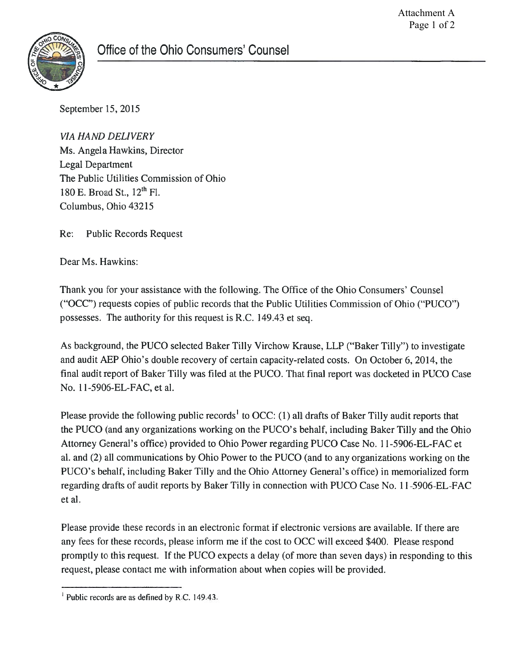

September 15, 2015

**VIA HAND DELIVERY** Ms. Angela Hawkins, Director **Legal Department** The Public Utilities Commission of Ohio 180 E. Broad St., 12<sup>th</sup> Fl. Columbus, Ohio 43215

 $Re:$ **Public Records Request** 

Dear Ms. Hawkins:

Thank you for your assistance with the following. The Office of the Ohio Consumers' Counsel ("OCC") requests copies of public records that the Public Utilities Commission of Ohio ("PUCO") possesses. The authority for this request is R.C. 149.43 et seq.

As background, the PUCO selected Baker Tilly Virchow Krause, LLP ("Baker Tilly") to investigate and audit AEP Ohio's double recovery of certain capacity-related costs. On October 6, 2014, the final audit report of Baker Tilly was filed at the PUCO. That final report was docketed in PUCO Case No. 11-5906-EL-FAC, et al.

Please provide the following public records<sup>1</sup> to OCC: (1) all drafts of Baker Tilly audit reports that the PUCO (and any organizations working on the PUCO's behalf, including Baker Tilly and the Ohio Attorney General's office) provided to Ohio Power regarding PUCO Case No. 11-5906-EL-FAC et al. and (2) all communications by Ohio Power to the PUCO (and to any organizations working on the PUCO's behalf, including Baker Tilly and the Ohio Attorney General's office) in memorialized form regarding drafts of audit reports by Baker Tilly in connection with PUCO Case No. 11-5906-EL-FAC et al.

Please provide these records in an electronic format if electronic versions are available. If there are any fees for these records, please inform me if the cost to OCC will exceed \$400. Please respond promptly to this request. If the PUCO expects a delay (of more than seven days) in responding to this request, please contact me with information about when copies will be provided.

 $<sup>1</sup>$  Public records are as defined by R.C. 149.43.</sup>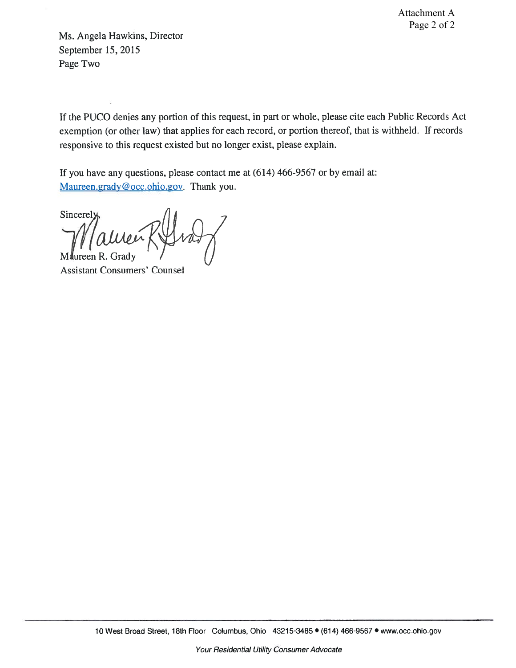Attachment A Page 2 of 2

Ms. Angela Hawkins, Director September 15, 2015 Page Two

If the PUCO denies any portion of this request, in part or whole, please cite each Public Records Act exemption (or other law) that applies for each record, or portion thereof, that is withheld. If records responsive to this request existed but no longer exist, please explain.

If you have any questions, please contact me at (614) 466-9567 or by email at: Maureen.grady@occ.ohio.gov. Thank you.

Sincerely **Maureen** 

**Assistant Consumers' Counsel**